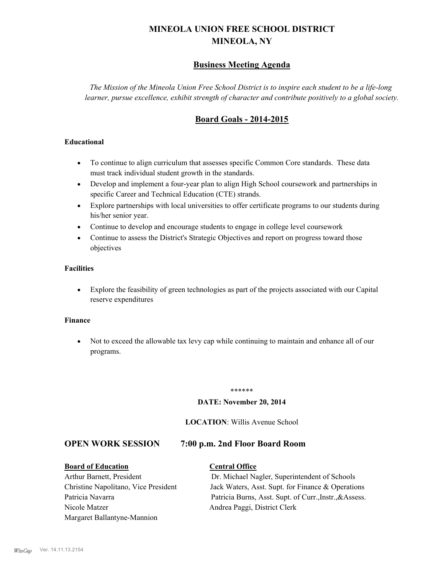# **MINEOLA UNION FREE SCHOOL DISTRICT MINEOLA, NY**

## **Business Meeting Agenda**

*The Mission of the Mineola Union Free School District is to inspire each student to be a life-long learner, pursue excellence, exhibit strength of character and contribute positively to a global society.*

## **Board Goals - 2014-2015**

### **Educational**

- · To continue to align curriculum that assesses specific Common Core standards. These data must track individual student growth in the standards.
- · Develop and implement a four-year plan to align High School coursework and partnerships in specific Career and Technical Education (CTE) strands.
- · Explore partnerships with local universities to offer certificate programs to our students during his/her senior year.
- · Continue to develop and encourage students to engage in college level coursework
- Continue to assess the District's Strategic Objectives and report on progress toward those objectives

#### **Facilities**

· Explore the feasibility of green technologies as part of the projects associated with our Capital reserve expenditures

#### **Finance**

· Not to exceed the allowable tax levy cap while continuing to maintain and enhance all of our programs.

#### \*\*\*\*\*\*

#### **DATE: November 20, 2014**

#### **LOCATION**: Willis Avenue School

## **OPEN WORK SESSION 7:00 p.m. 2nd Floor Board Room**

**Board of Education Central Office** Arthur Barnett, President Dr. Michael Nagler, Superintendent of Schools Christine Napolitano, Vice President Jack Waters, Asst. Supt. for Finance & Operations Patricia Navarra Patricia Burns, Asst. Supt. of Curr., Instr., &Assess. Nicole Matzer Andrea Paggi, District Clerk Margaret Ballantyne-Mannion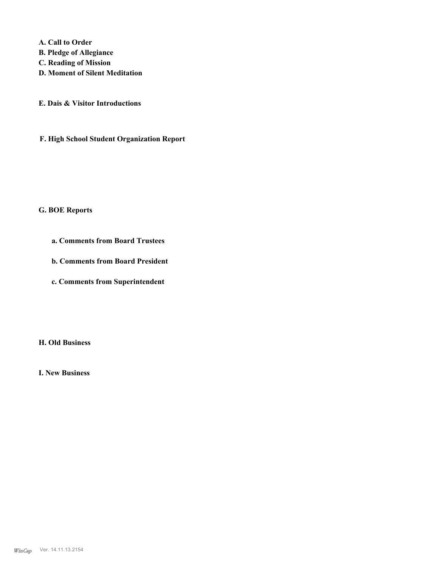**A. Call to Order** 

- **B. Pledge of Allegiance**
- **C. Reading of Mission**
- **D. Moment of Silent Meditation**
- **E. Dais & Visitor Introductions**
- **F. High School Student Organization Report**

#### **G. BOE Reports**

- **a. Comments from Board Trustees**
- **b. Comments from Board President**
- **c. Comments from Superintendent**

#### **H. Old Business**

**I. New Business**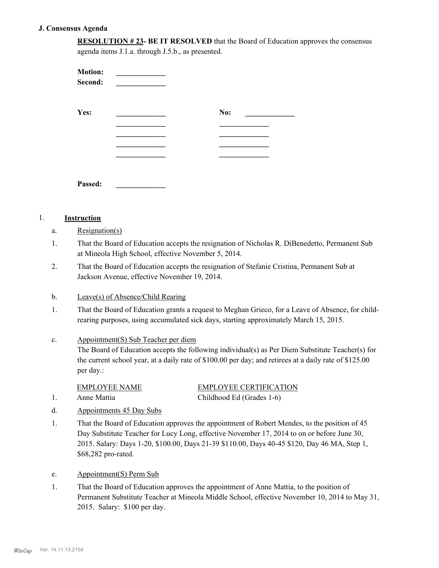#### **J. Consensus Agenda**

**RESOLUTION # 23- BE IT RESOLVED** that the Board of Education approves the consensus agenda items J.1.a. through J.5.b., as presented.

| <b>Motion:</b><br>Second: |     |  |
|---------------------------|-----|--|
| Yes:                      | No: |  |
|                           |     |  |
|                           |     |  |
|                           |     |  |
|                           |     |  |
| Passed:                   |     |  |

#### 1. **Instruction**

- a. Resignation(s)
- That the Board of Education accepts the resignation of Nicholas R. DiBenedetto, Permanent Sub at Mineola High School, effective November 5, 2014. 1.
- That the Board of Education accepts the resignation of Stefanie Cristina, Permanent Sub at Jackson Avenue, effective November 19, 2014. 2.

#### b. Leave(s) of Absence/Child Rearing

That the Board of Education grants a request to Meghan Grieco, for a Leave of Absence, for childrearing purposes, using accumulated sick days, starting approximately March 15, 2015. 1.

#### Appointment(S) Sub Teacher per diem c.

The Board of Education accepts the following individual(s) as Per Diem Substitute Teacher(s) for the current school year, at a daily rate of \$100.00 per day; and retirees at a daily rate of \$125.00 per day.:

EMPLOYEE NAME EMPLOYEE CERTIFICATION

1. Anne Mattia Childhood Ed (Grades 1-6)

- d. Appointments 45 Day Subs
- That the Board of Education approves the appointment of Robert Mendes, to the position of 45 Day Substitute Teacher for Lucy Long, effective November 17, 2014 to on or before June 30, 2015. Salary: Days 1-20, \$100.00, Days 21-39 \$110.00, Days 40-45 \$120, Day 46 MA, Step 1, \$68,282 pro-rated. 1.
- e. Appointment(S) Perm Sub
- That the Board of Education approves the appointment of Anne Mattia, to the position of Permanent Substitute Teacher at Mineola Middle School, effective November 10, 2014 to May 31, 2015. Salary: \$100 per day. 1.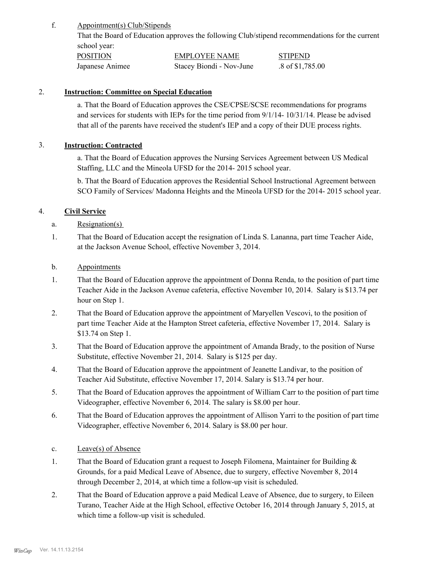Appointment(s) Club/Stipends f.

> That the Board of Education approves the following Club/stipend recommendations for the current school year:

| <b>POSITION</b> | <b>EMPLOYEE NAME</b>     | <b>STIPEND</b>             |
|-----------------|--------------------------|----------------------------|
| Japanese Animee | Stacey Biondi - Nov-June | $.8 \text{ of } $1,785.00$ |

## 2. **Instruction: Committee on Special Education**

a. That the Board of Education approves the CSE/CPSE/SCSE recommendations for programs and services for students with IEPs for the time period from 9/1/14- 10/31/14. Please be advised that all of the parents have received the student's IEP and a copy of their DUE process rights.

## 3. **Instruction: Contracted**

a. That the Board of Education approves the Nursing Services Agreement between US Medical Staffing, LLC and the Mineola UFSD for the 2014- 2015 school year.

b. That the Board of Education approves the Residential School Instructional Agreement between SCO Family of Services/ Madonna Heights and the Mineola UFSD for the 2014- 2015 school year.

## 4. **Civil Service**

- a. Resignation(s)
- That the Board of Education accept the resignation of Linda S. Lananna, part time Teacher Aide, at the Jackson Avenue School, effective November 3, 2014. 1.
- b. Appointments
- That the Board of Education approve the appointment of Donna Renda, to the position of part time Teacher Aide in the Jackson Avenue cafeteria, effective November 10, 2014. Salary is \$13.74 per hour on Step 1. 1.
- That the Board of Education approve the appointment of Maryellen Vescovi, to the position of part time Teacher Aide at the Hampton Street cafeteria, effective November 17, 2014. Salary is \$13.74 on Step 1. 2.
- That the Board of Education approve the appointment of Amanda Brady, to the position of Nurse Substitute, effective November 21, 2014. Salary is \$125 per day. 3.
- That the Board of Education approve the appointment of Jeanette Landivar, to the position of Teacher Aid Substitute, effective November 17, 2014. Salary is \$13.74 per hour. 4.
- That the Board of Education approves the appointment of William Carr to the position of part time Videographer, effective November 6, 2014. The salary is \$8.00 per hour. 5.
- That the Board of Education approves the appointment of Allison Yarri to the position of part time Videographer, effective November 6, 2014. Salary is \$8.00 per hour. 6.
- c. Leave(s) of Absence
- That the Board of Education grant a request to Joseph Filomena, Maintainer for Building  $\&$ Grounds, for a paid Medical Leave of Absence, due to surgery, effective November 8, 2014 through December 2, 2014, at which time a follow-up visit is scheduled. 1.
- That the Board of Education approve a paid Medical Leave of Absence, due to surgery, to Eileen Turano, Teacher Aide at the High School, effective October 16, 2014 through January 5, 2015, at which time a follow-up visit is scheduled. 2.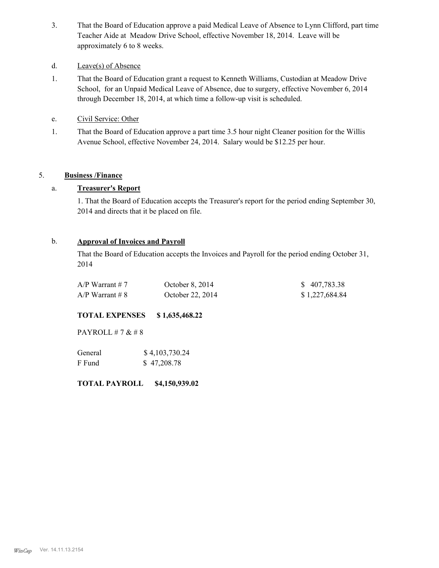That the Board of Education approve a paid Medical Leave of Absence to Lynn Clifford, part time Teacher Aide at Meadow Drive School, effective November 18, 2014. Leave will be approximately 6 to 8 weeks. 3.

#### d. Leave(s) of Absence

- That the Board of Education grant a request to Kenneth Williams, Custodian at Meadow Drive School, for an Unpaid Medical Leave of Absence, due to surgery, effective November 6, 2014 through December 18, 2014, at which time a follow-up visit is scheduled. 1.
- e. Civil Service: Other
- That the Board of Education approve a part time 3.5 hour night Cleaner position for the Willis Avenue School, effective November 24, 2014. Salary would be \$12.25 per hour. 1.

## 5. **Business /Finance**

## a. **Treasurer's Report**

1. That the Board of Education accepts the Treasurer's report for the period ending September 30, 2014 and directs that it be placed on file.

### b. **Approval of Invoices and Payroll**

That the Board of Education accepts the Invoices and Payroll for the period ending October 31, 2014

| $A/P$ Warrant # 7 | October 8, $2014$ | \$407,783.38   |
|-------------------|-------------------|----------------|
| $A/P$ Warrant # 8 | October 22, 2014  | \$1,227,684.84 |

## **TOTAL EXPENSES \$ 1,635,468.22**

PAYROLL # 7 & # 8

| General | \$4,103,730.24 |  |  |
|---------|----------------|--|--|
| F Fund  | \$47,208.78    |  |  |

**TOTAL PAYROLL \$4,150,939.02**